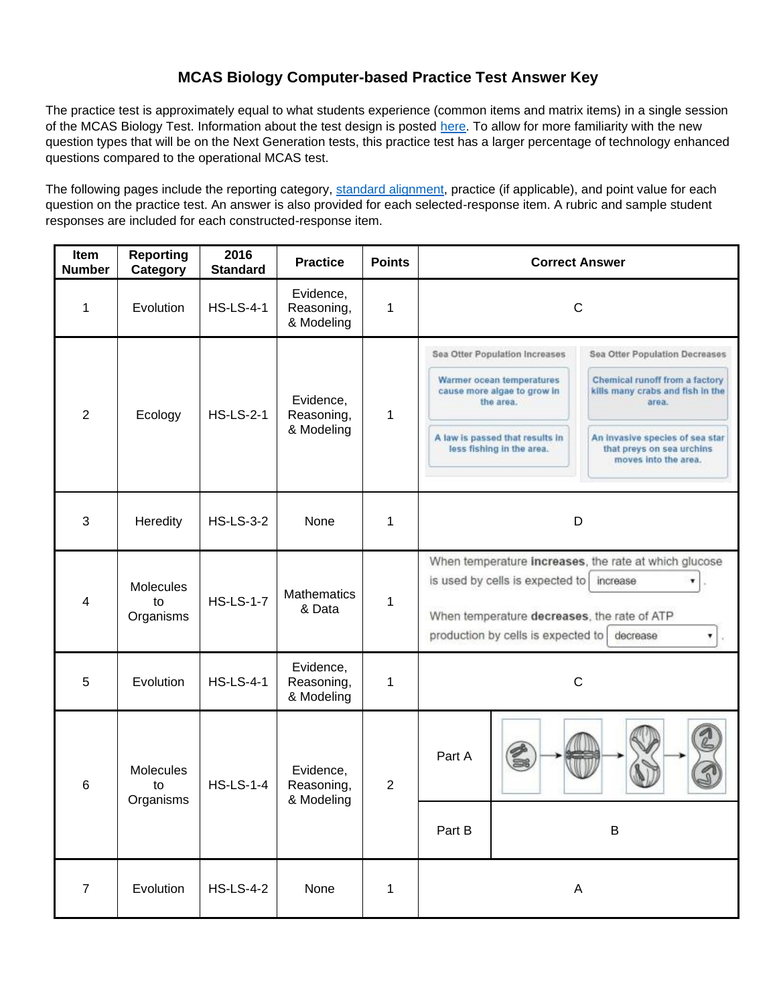## **MCAS Biology Computer-based Practice Test Answer Key**

The practice test is approximately equal to what students experience (common items and matrix items) in a single session of the MCAS Biology Test. Information about the test design is posted [here.](http://www.doe.mass.edu/mcas/tdd/sci.html) To allow for more familiarity with the new question types that will be on the Next Generation tests, this practice test has a larger percentage of technology enhanced questions compared to the operational MCAS test.

The following pages include the reporting category, [standard alignment,](http://www.doe.mass.edu/frameworks/) practice (if applicable), and point value for each question on the practice test. An answer is also provided for each selected-response item. A rubric and sample student responses are included for each constructed-response item.

| Item<br><b>Number</b> | <b>Reporting</b><br>Category                            | 2016<br><b>Standard</b> | <b>Practice</b>                       | <b>Points</b>  |                                                                                                                                                                                                            | <b>Correct Answer</b>                                                                                                                                                                                                                                                                                                                                                            |  |
|-----------------------|---------------------------------------------------------|-------------------------|---------------------------------------|----------------|------------------------------------------------------------------------------------------------------------------------------------------------------------------------------------------------------------|----------------------------------------------------------------------------------------------------------------------------------------------------------------------------------------------------------------------------------------------------------------------------------------------------------------------------------------------------------------------------------|--|
| 1                     | Evolution                                               | <b>HS-LS-4-1</b>        | Evidence,<br>Reasoning,<br>& Modeling | 1              |                                                                                                                                                                                                            | $\mathsf C$                                                                                                                                                                                                                                                                                                                                                                      |  |
| $\overline{2}$        | Ecology                                                 | <b>HS-LS-2-1</b>        | Evidence,<br>Reasoning,<br>& Modeling | 1              |                                                                                                                                                                                                            | Sea Otter Population Increases<br>Sea Otter Population Decreases<br>Chemical runoff from a factory<br>Warmer ocean temperatures<br>cause more algae to grow in<br>kills many crabs and fish in the<br>the area.<br>area.<br>A law is passed that results in<br>An invasive species of sea star<br>less fishing in the area.<br>that preys on sea urchins<br>moves into the area. |  |
| 3                     | Heredity                                                | <b>HS-LS-3-2</b>        | None                                  | 1              | D                                                                                                                                                                                                          |                                                                                                                                                                                                                                                                                                                                                                                  |  |
| 4                     | <b>Molecules</b><br>to<br>Organisms                     | <b>HS-LS-1-7</b>        | <b>Mathematics</b><br>& Data          | 1              | When temperature increases, the rate at which glucose<br>is used by cells is expected to<br>increase<br>When temperature decreases, the rate of ATP<br>production by cells is expected to<br>decrease<br>▼ |                                                                                                                                                                                                                                                                                                                                                                                  |  |
| 5                     | Evolution                                               | <b>HS-LS-4-1</b>        | Evidence,<br>Reasoning,<br>& Modeling | 1              | $\mathsf C$                                                                                                                                                                                                |                                                                                                                                                                                                                                                                                                                                                                                  |  |
| 6                     | <b>Molecules</b><br><b>HS-LS-1-4</b><br>to<br>Organisms |                         | Evidence,<br>Reasoning,<br>& Modeling | $\overline{2}$ | Part A                                                                                                                                                                                                     |                                                                                                                                                                                                                                                                                                                                                                                  |  |
|                       |                                                         |                         |                                       |                | Part B                                                                                                                                                                                                     | B                                                                                                                                                                                                                                                                                                                                                                                |  |
| $\boldsymbol{7}$      | Evolution                                               | <b>HS-LS-4-2</b>        | None                                  | $\mathbf{1}$   |                                                                                                                                                                                                            | $\mathsf A$                                                                                                                                                                                                                                                                                                                                                                      |  |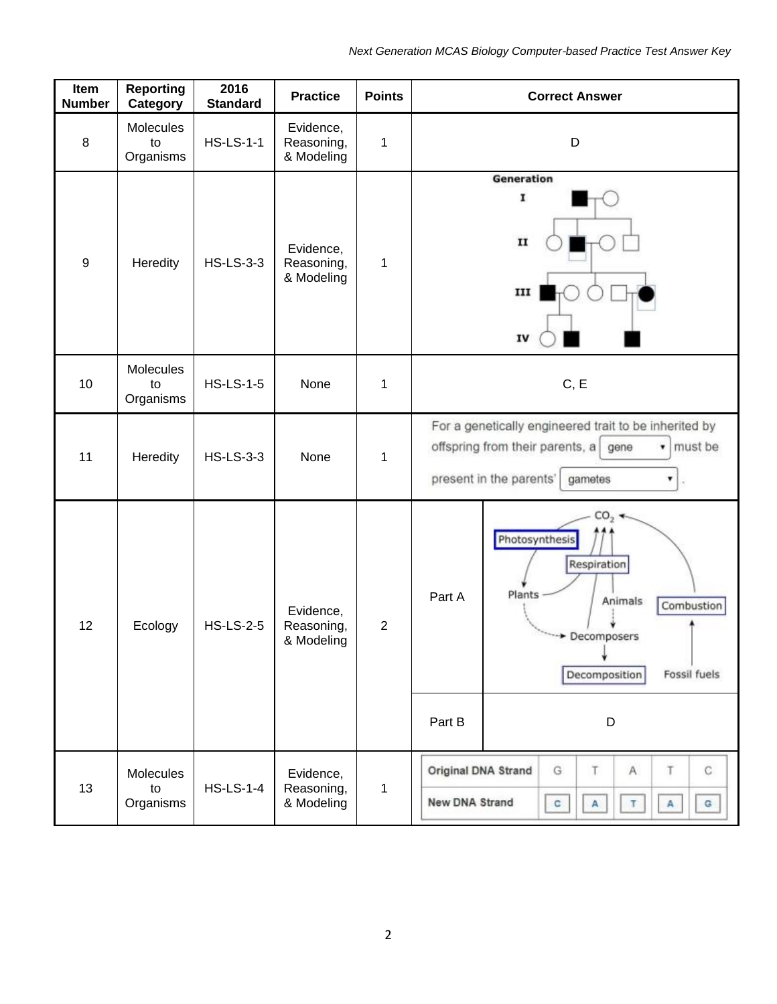| Item<br><b>Number</b> | <b>Reporting</b><br>Category | 2016<br><b>Standard</b> | <b>Practice</b>                       | <b>Points</b> | <b>Correct Answer</b>                                                                                                                                                  |  |
|-----------------------|------------------------------|-------------------------|---------------------------------------|---------------|------------------------------------------------------------------------------------------------------------------------------------------------------------------------|--|
| 8                     | Molecules<br>to<br>Organisms | <b>HS-LS-1-1</b>        | Evidence,<br>Reasoning,<br>& Modeling | 1             | D                                                                                                                                                                      |  |
| $9\,$                 | Heredity                     | <b>HS-LS-3-3</b>        | Evidence,<br>Reasoning,<br>& Modeling | 1             | Generation<br>I<br>$\mathbf{II}$<br>ш<br>IV                                                                                                                            |  |
| 10                    | Molecules<br>to<br>Organisms | <b>HS-LS-1-5</b>        | None                                  | 1             | C, E                                                                                                                                                                   |  |
| 11                    | Heredity                     | <b>HS-LS-3-3</b>        | None                                  | 1             | For a genetically engineered trait to be inherited by<br>offspring from their parents, a<br>must be<br>gene<br>$\mathbf{v}$<br>present in the parents'<br>gametes<br>۷ |  |
| 12                    | Ecology                      | <b>HS-LS-2-5</b>        | Evidence,<br>Reasoning,<br>& Modeling | $\mathbf{2}$  | CO <sub>2</sub><br>Photosynthesis<br>Respiration<br>Plants<br>Part A<br>Animals<br>Combustion<br>Decomposers<br>Decomposition<br>Fossil fuels                          |  |
|                       |                              |                         |                                       |               | Part B<br>D                                                                                                                                                            |  |
| 13                    | Molecules<br>to<br>Organisms | <b>HS-LS-1-4</b>        | Evidence,<br>Reasoning,<br>& Modeling | 1             | G<br>T<br>A.<br>C<br>Original DNA Strand<br>T<br>New DNA Strand<br>$\mathbf{c}$<br>$\mathbb T$<br>$\mathsf A$<br>$\mathtt{G}$<br>$\mathsf{A}$                          |  |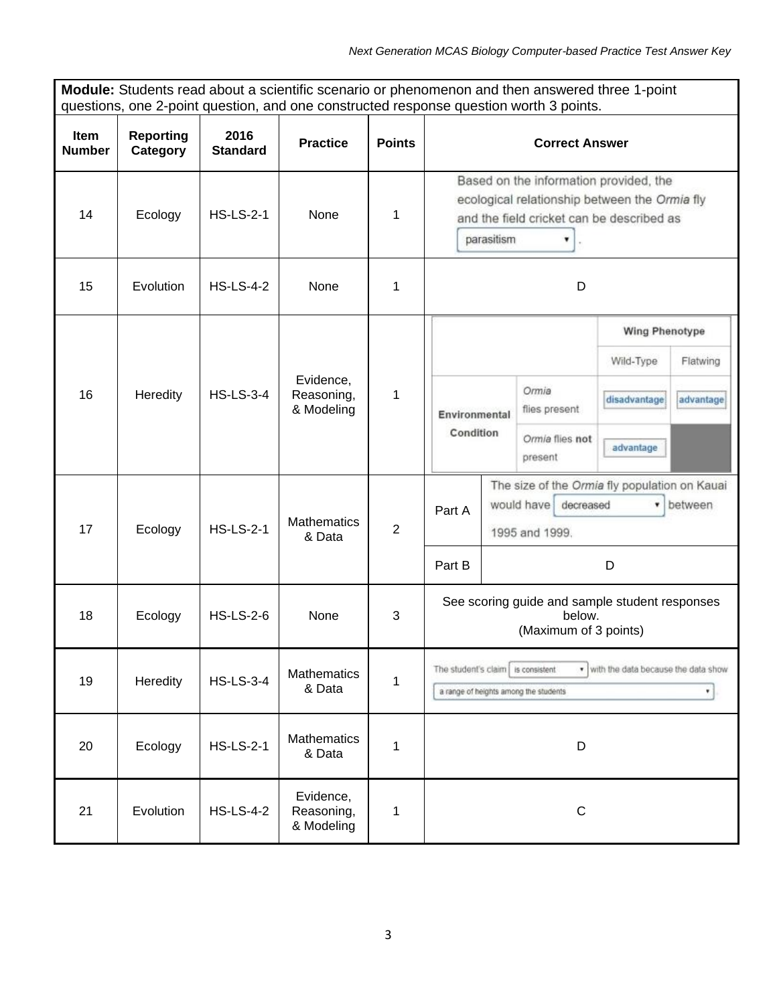| <b>Module:</b> Students read about a scientific scenario or phenomenon and then answered three 1-point<br>questions, one 2-point question, and one constructed response question worth 3 points. |                              |                         |                                       |                |                                                                                                                                                         |  |  |  |  |
|--------------------------------------------------------------------------------------------------------------------------------------------------------------------------------------------------|------------------------------|-------------------------|---------------------------------------|----------------|---------------------------------------------------------------------------------------------------------------------------------------------------------|--|--|--|--|
| Item<br><b>Number</b>                                                                                                                                                                            | <b>Reporting</b><br>Category | 2016<br><b>Standard</b> | <b>Practice</b>                       | <b>Points</b>  | <b>Correct Answer</b>                                                                                                                                   |  |  |  |  |
| 14                                                                                                                                                                                               | Ecology                      | <b>HS-LS-2-1</b>        | None                                  | 1              | Based on the information provided, the<br>ecological relationship between the Ormia fly<br>and the field cricket can be described as<br>parasitism<br>۷ |  |  |  |  |
| 15                                                                                                                                                                                               | Evolution                    | <b>HS-LS-4-2</b>        | None                                  | 1              | D                                                                                                                                                       |  |  |  |  |
| 16                                                                                                                                                                                               | Heredity                     | <b>HS-LS-3-4</b>        | Evidence,<br>Reasoning,<br>& Modeling | 1              | <b>Wing Phenotype</b><br>Wild-Type<br>Flatwing<br>Ormia<br>advantage<br>disadvantage<br>flies present<br>Environmental                                  |  |  |  |  |
|                                                                                                                                                                                                  |                              |                         |                                       |                | Condition<br>Ormia flies not<br>advantage<br>present                                                                                                    |  |  |  |  |
| 17                                                                                                                                                                                               | Ecology                      | <b>HS-LS-2-1</b>        | <b>Mathematics</b><br>& Data          | $\overline{2}$ | The size of the Ormia fly population on Kauai<br>would have decreased<br>• between<br>Part A<br>1995 and 1999.                                          |  |  |  |  |
|                                                                                                                                                                                                  |                              |                         |                                       |                | Part B<br>D                                                                                                                                             |  |  |  |  |
| 18                                                                                                                                                                                               | Ecology                      | <b>HS-LS-2-6</b>        | None                                  | 3              | See scoring guide and sample student responses<br>below.<br>(Maximum of 3 points)                                                                       |  |  |  |  |
| 19                                                                                                                                                                                               | Heredity                     | <b>HS-LS-3-4</b>        | <b>Mathematics</b><br>& Data          | 1              | The student's claim is consistent<br>. with the data because the data show<br>a range of heights among the students                                     |  |  |  |  |
| 20                                                                                                                                                                                               | Ecology                      | <b>HS-LS-2-1</b>        | Mathematics<br>& Data                 | 1              | D                                                                                                                                                       |  |  |  |  |
| 21                                                                                                                                                                                               | Evolution                    | <b>HS-LS-4-2</b>        | Evidence,<br>Reasoning,<br>& Modeling | 1              | $\mathsf C$                                                                                                                                             |  |  |  |  |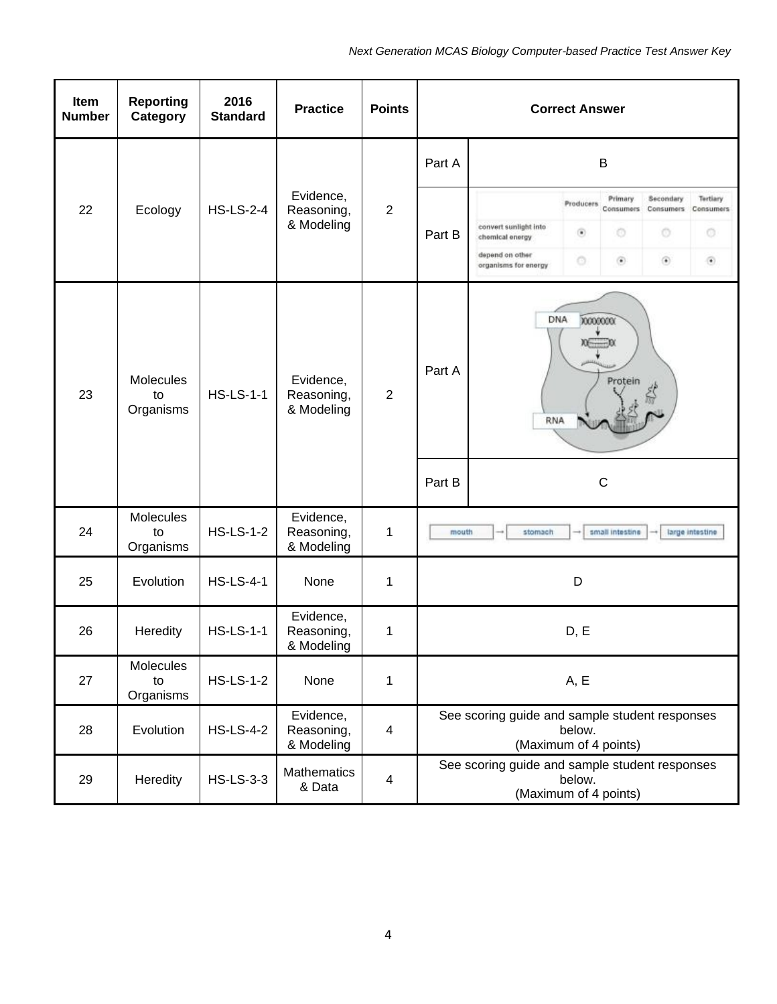| Item<br><b>Number</b> | <b>Reporting</b><br>Category | 2016<br><b>Standard</b> | <b>Practice</b>                       | <b>Points</b>  |             |                                                                                     | <b>Correct Answer</b>                |                                         |                                              |                                            |
|-----------------------|------------------------------|-------------------------|---------------------------------------|----------------|-------------|-------------------------------------------------------------------------------------|--------------------------------------|-----------------------------------------|----------------------------------------------|--------------------------------------------|
|                       |                              |                         | Evidence,<br>Reasoning,<br>& Modeling | $\overline{2}$ | Part A<br>B |                                                                                     |                                      |                                         |                                              |                                            |
| 22                    | Ecology                      | <b>HS-LS-2-4</b>        |                                       |                | Part B      | convert sunlight into<br>chemical energy<br>depend on other<br>organisms for energy | Producers<br>$^\circledR$<br>$\circ$ | Primary<br>Consumers<br>O<br>$_{\odot}$ | Secondary<br>Consumers<br>O<br>$\circledast$ | Tertiary<br>Consumers<br>o<br>$^\circledR$ |
| 23                    | Molecules<br>to<br>Organisms | <b>HS-LS-1-1</b>        | Evidence,<br>Reasoning,<br>& Modeling | $\overline{2}$ | Part A      | <b>DNA</b><br>70000000<br>$x = 0$<br>Protein<br><b>RNA</b>                          |                                      |                                         |                                              |                                            |
|                       |                              |                         |                                       |                | Part B      |                                                                                     |                                      | $\mathsf{C}$                            |                                              |                                            |
| 24                    | Molecules<br>to<br>Organisms | <b>HS-LS-1-2</b>        | Evidence,<br>Reasoning,<br>& Modeling | 1              | mouth       | stomach                                                                             |                                      | small intestine                         |                                              | large intestine                            |
| 25                    | Evolution                    | <b>HS-LS-4-1</b>        | None                                  | 1              |             |                                                                                     | D                                    |                                         |                                              |                                            |
| 26                    | Heredity                     | <b>HS-LS-1-1</b>        | Evidence,<br>Reasoning,<br>& Modeling | $\mathbf 1$    |             |                                                                                     | D, E                                 |                                         |                                              |                                            |
| 27                    | Molecules<br>to<br>Organisms | <b>HS-LS-1-2</b>        | None                                  | 1              |             |                                                                                     | A, E                                 |                                         |                                              |                                            |
| 28                    | Evolution                    | <b>HS-LS-4-2</b>        | Evidence,<br>Reasoning,<br>& Modeling | $\overline{4}$ |             | See scoring guide and sample student responses<br>(Maximum of 4 points)             | below.                               |                                         |                                              |                                            |
| 29                    | Heredity                     | <b>HS-LS-3-3</b>        | <b>Mathematics</b><br>& Data          | $\overline{4}$ |             | See scoring guide and sample student responses<br>(Maximum of 4 points)             | below.                               |                                         |                                              |                                            |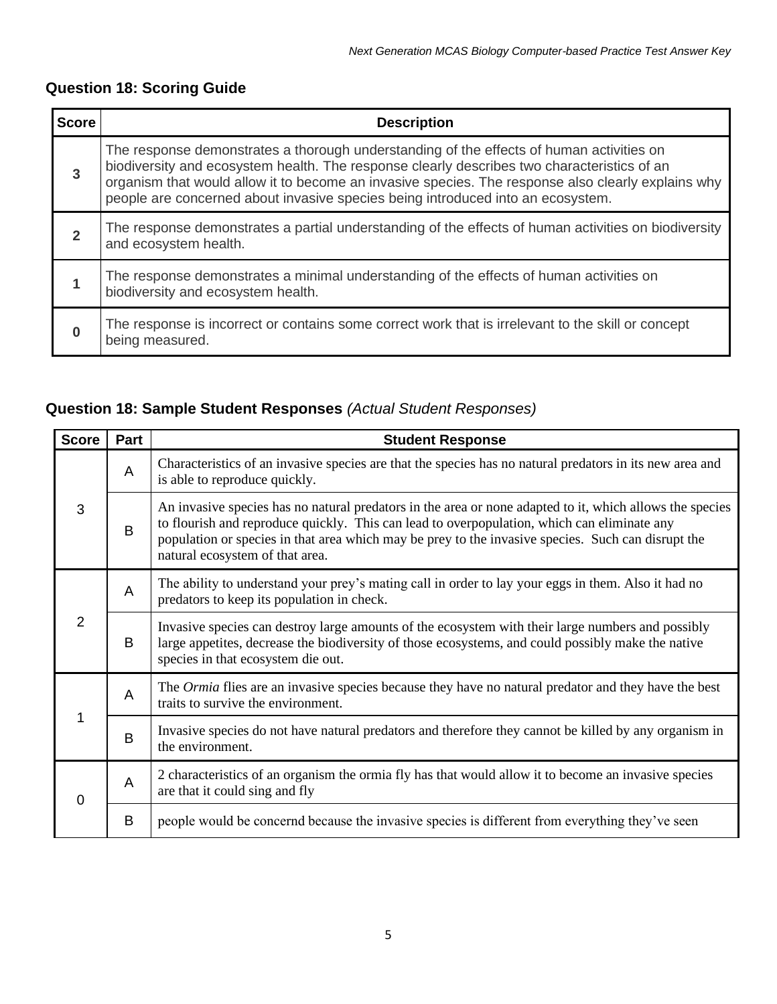# **Question 18: Scoring Guide**

| <b>Score</b> | <b>Description</b>                                                                                                                                                                                                                                                                                                                                                               |
|--------------|----------------------------------------------------------------------------------------------------------------------------------------------------------------------------------------------------------------------------------------------------------------------------------------------------------------------------------------------------------------------------------|
| $\mathbf{3}$ | The response demonstrates a thorough understanding of the effects of human activities on<br>biodiversity and ecosystem health. The response clearly describes two characteristics of an<br>organism that would allow it to become an invasive species. The response also clearly explains why<br>people are concerned about invasive species being introduced into an ecosystem. |
| 2            | The response demonstrates a partial understanding of the effects of human activities on biodiversity<br>and ecosystem health.                                                                                                                                                                                                                                                    |
|              | The response demonstrates a minimal understanding of the effects of human activities on<br>biodiversity and ecosystem health.                                                                                                                                                                                                                                                    |
| O            | The response is incorrect or contains some correct work that is irrelevant to the skill or concept<br>being measured.                                                                                                                                                                                                                                                            |

# **Question 18: Sample Student Responses** *(Actual Student Responses)*

| <b>Score</b> | Part           | <b>Student Response</b>                                                                                                                                                                                                                                                                                                                          |  |  |  |  |  |
|--------------|----------------|--------------------------------------------------------------------------------------------------------------------------------------------------------------------------------------------------------------------------------------------------------------------------------------------------------------------------------------------------|--|--|--|--|--|
| 3            | $\overline{A}$ | Characteristics of an invasive species are that the species has no natural predators in its new area and<br>is able to reproduce quickly.                                                                                                                                                                                                        |  |  |  |  |  |
|              | B              | An invasive species has no natural predators in the area or none adapted to it, which allows the species<br>to flourish and reproduce quickly. This can lead to overpopulation, which can eliminate any<br>population or species in that area which may be prey to the invasive species. Such can disrupt the<br>natural ecosystem of that area. |  |  |  |  |  |
| 2            | A              | The ability to understand your prey's mating call in order to lay your eggs in them. Also it had no<br>predators to keep its population in check.                                                                                                                                                                                                |  |  |  |  |  |
|              | B              | Invasive species can destroy large amounts of the ecosystem with their large numbers and possibly<br>large appetites, decrease the biodiversity of those ecosystems, and could possibly make the native<br>species in that ecosystem die out.                                                                                                    |  |  |  |  |  |
| 1            | A              | The <i>Ormia</i> flies are an invasive species because they have no natural predator and they have the best<br>traits to survive the environment.                                                                                                                                                                                                |  |  |  |  |  |
|              | B              | Invasive species do not have natural predators and therefore they cannot be killed by any organism in<br>the environment.                                                                                                                                                                                                                        |  |  |  |  |  |
| 0            | $\overline{A}$ | 2 characteristics of an organism the ormia fly has that would allow it to become an invasive species<br>are that it could sing and fly                                                                                                                                                                                                           |  |  |  |  |  |
|              | B              | people would be concernd because the invasive species is different from everything they've seen                                                                                                                                                                                                                                                  |  |  |  |  |  |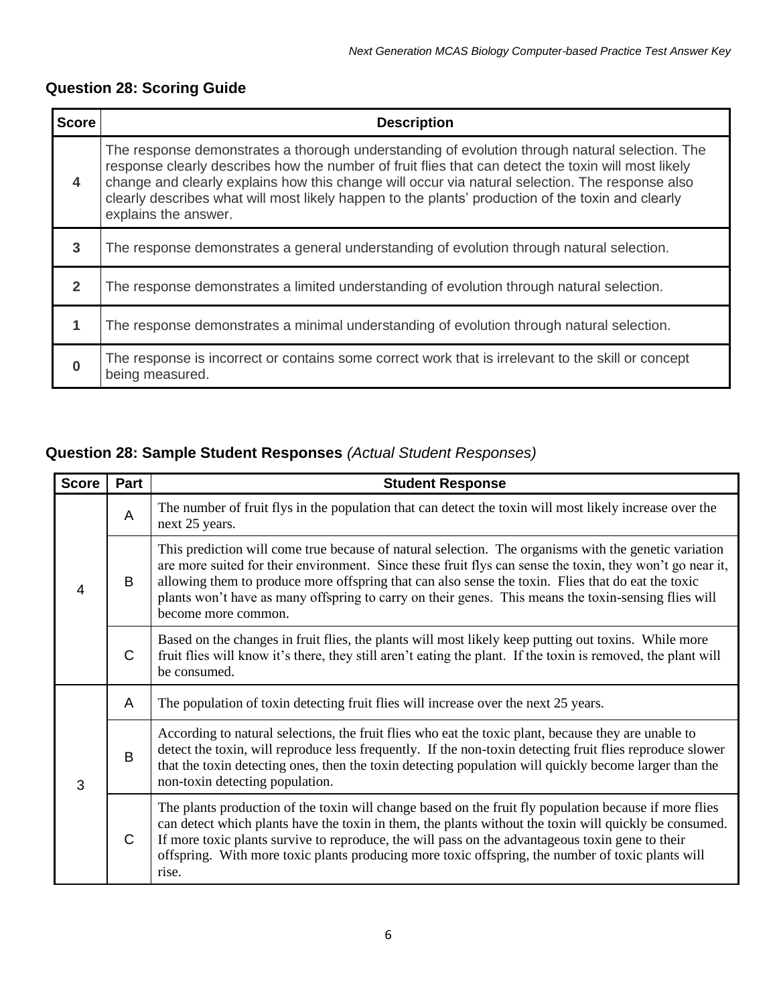# **Question 28: Scoring Guide**

| <b>Score</b>   | <b>Description</b>                                                                                                                                                                                                                                                                                                                                                                                                                    |
|----------------|---------------------------------------------------------------------------------------------------------------------------------------------------------------------------------------------------------------------------------------------------------------------------------------------------------------------------------------------------------------------------------------------------------------------------------------|
| 4              | The response demonstrates a thorough understanding of evolution through natural selection. The<br>response clearly describes how the number of fruit flies that can detect the toxin will most likely<br>change and clearly explains how this change will occur via natural selection. The response also<br>clearly describes what will most likely happen to the plants' production of the toxin and clearly<br>explains the answer. |
| 3              | The response demonstrates a general understanding of evolution through natural selection.                                                                                                                                                                                                                                                                                                                                             |
| $\overline{2}$ | The response demonstrates a limited understanding of evolution through natural selection.                                                                                                                                                                                                                                                                                                                                             |
|                | The response demonstrates a minimal understanding of evolution through natural selection.                                                                                                                                                                                                                                                                                                                                             |
| O              | The response is incorrect or contains some correct work that is irrelevant to the skill or concept<br>being measured.                                                                                                                                                                                                                                                                                                                 |

# **Question 28: Sample Student Responses** *(Actual Student Responses)*

| <b>Score</b> | Part         | <b>Student Response</b>                                                                                                                                                                                                                                                                                                                                                                                                                                 |
|--------------|--------------|---------------------------------------------------------------------------------------------------------------------------------------------------------------------------------------------------------------------------------------------------------------------------------------------------------------------------------------------------------------------------------------------------------------------------------------------------------|
| 4            | A            | The number of fruit flys in the population that can detect the toxin will most likely increase over the<br>next 25 years.                                                                                                                                                                                                                                                                                                                               |
|              | B            | This prediction will come true because of natural selection. The organisms with the genetic variation<br>are more suited for their environment. Since these fruit flys can sense the toxin, they won't go near it,<br>allowing them to produce more offspring that can also sense the toxin. Flies that do eat the toxic<br>plants won't have as many offspring to carry on their genes. This means the toxin-sensing flies will<br>become more common. |
|              | $\mathsf{C}$ | Based on the changes in fruit flies, the plants will most likely keep putting out toxins. While more<br>fruit flies will know it's there, they still aren't eating the plant. If the toxin is removed, the plant will<br>be consumed.                                                                                                                                                                                                                   |
|              | A            | The population of toxin detecting fruit flies will increase over the next 25 years.                                                                                                                                                                                                                                                                                                                                                                     |
| 3            | B            | According to natural selections, the fruit flies who eat the toxic plant, because they are unable to<br>detect the toxin, will reproduce less frequently. If the non-toxin detecting fruit flies reproduce slower<br>that the toxin detecting ones, then the toxin detecting population will quickly become larger than the<br>non-toxin detecting population.                                                                                          |
|              | $\mathsf{C}$ | The plants production of the toxin will change based on the fruit fly population because if more flies<br>can detect which plants have the toxin in them, the plants without the toxin will quickly be consumed.<br>If more toxic plants survive to reproduce, the will pass on the advantageous toxin gene to their<br>offspring. With more toxic plants producing more toxic offspring, the number of toxic plants will<br>rise.                      |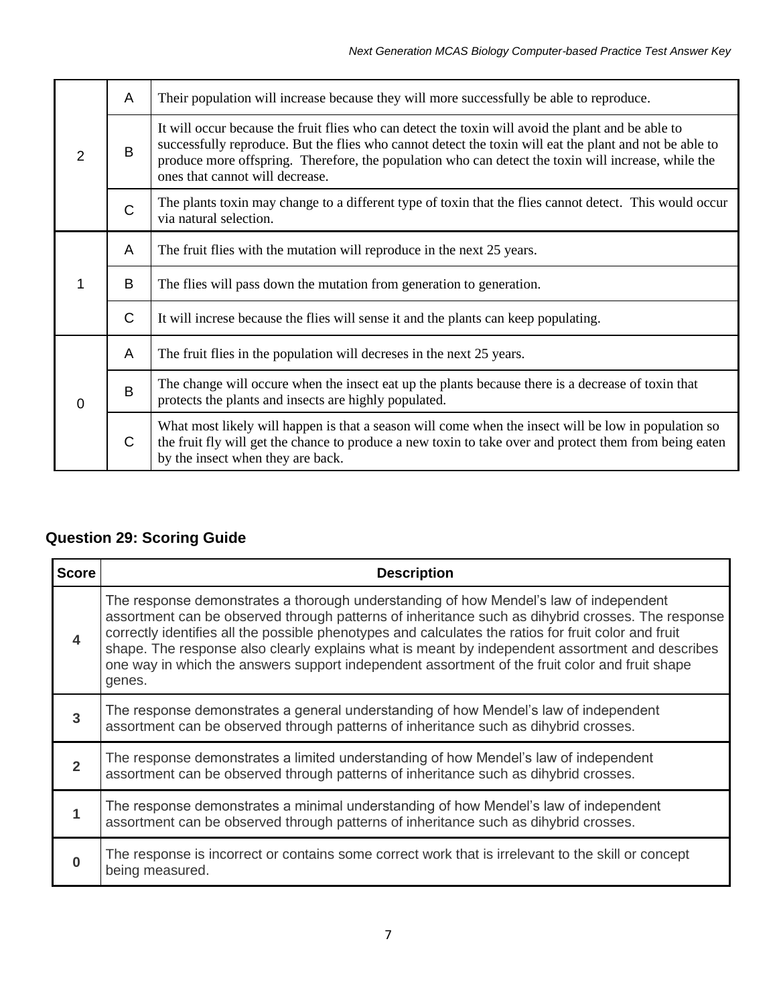| 2        | A            | Their population will increase because they will more successfully be able to reproduce.                                                                                                                                                                                                                                                                |
|----------|--------------|---------------------------------------------------------------------------------------------------------------------------------------------------------------------------------------------------------------------------------------------------------------------------------------------------------------------------------------------------------|
|          | B            | It will occur because the fruit flies who can detect the toxin will avoid the plant and be able to<br>successfully reproduce. But the flies who cannot detect the toxin will eat the plant and not be able to<br>produce more offspring. Therefore, the population who can detect the toxin will increase, while the<br>ones that cannot will decrease. |
|          | $\mathsf C$  | The plants toxin may change to a different type of toxin that the flies cannot detect. This would occur<br>via natural selection.                                                                                                                                                                                                                       |
|          | A            | The fruit flies with the mutation will reproduce in the next 25 years.                                                                                                                                                                                                                                                                                  |
| 1        | B            | The flies will pass down the mutation from generation to generation.                                                                                                                                                                                                                                                                                    |
|          | $\mathsf{C}$ | It will increse because the flies will sense it and the plants can keep populating.                                                                                                                                                                                                                                                                     |
| $\Omega$ | A            | The fruit flies in the population will decreses in the next 25 years.                                                                                                                                                                                                                                                                                   |
|          | B            | The change will occure when the insect eat up the plants because there is a decrease of toxin that<br>protects the plants and insects are highly populated.                                                                                                                                                                                             |
|          | $\mathsf{C}$ | What most likely will happen is that a season will come when the insect will be low in population so<br>the fruit fly will get the chance to produce a new toxin to take over and protect them from being eaten<br>by the insect when they are back.                                                                                                    |

# **Question 29: Scoring Guide**

| <b>Score</b>     | <b>Description</b>                                                                                                                                                                                                                                                                                                                                                                                                                                                                                                |
|------------------|-------------------------------------------------------------------------------------------------------------------------------------------------------------------------------------------------------------------------------------------------------------------------------------------------------------------------------------------------------------------------------------------------------------------------------------------------------------------------------------------------------------------|
| $\boldsymbol{4}$ | The response demonstrates a thorough understanding of how Mendel's law of independent<br>assortment can be observed through patterns of inheritance such as dihybrid crosses. The response<br>correctly identifies all the possible phenotypes and calculates the ratios for fruit color and fruit<br>shape. The response also clearly explains what is meant by independent assortment and describes<br>one way in which the answers support independent assortment of the fruit color and fruit shape<br>genes. |
| 3                | The response demonstrates a general understanding of how Mendel's law of independent<br>assortment can be observed through patterns of inheritance such as dihybrid crosses.                                                                                                                                                                                                                                                                                                                                      |
| $\overline{2}$   | The response demonstrates a limited understanding of how Mendel's law of independent<br>assortment can be observed through patterns of inheritance such as dihybrid crosses.                                                                                                                                                                                                                                                                                                                                      |
|                  | The response demonstrates a minimal understanding of how Mendel's law of independent<br>assortment can be observed through patterns of inheritance such as dihybrid crosses.                                                                                                                                                                                                                                                                                                                                      |
| O                | The response is incorrect or contains some correct work that is irrelevant to the skill or concept<br>being measured.                                                                                                                                                                                                                                                                                                                                                                                             |